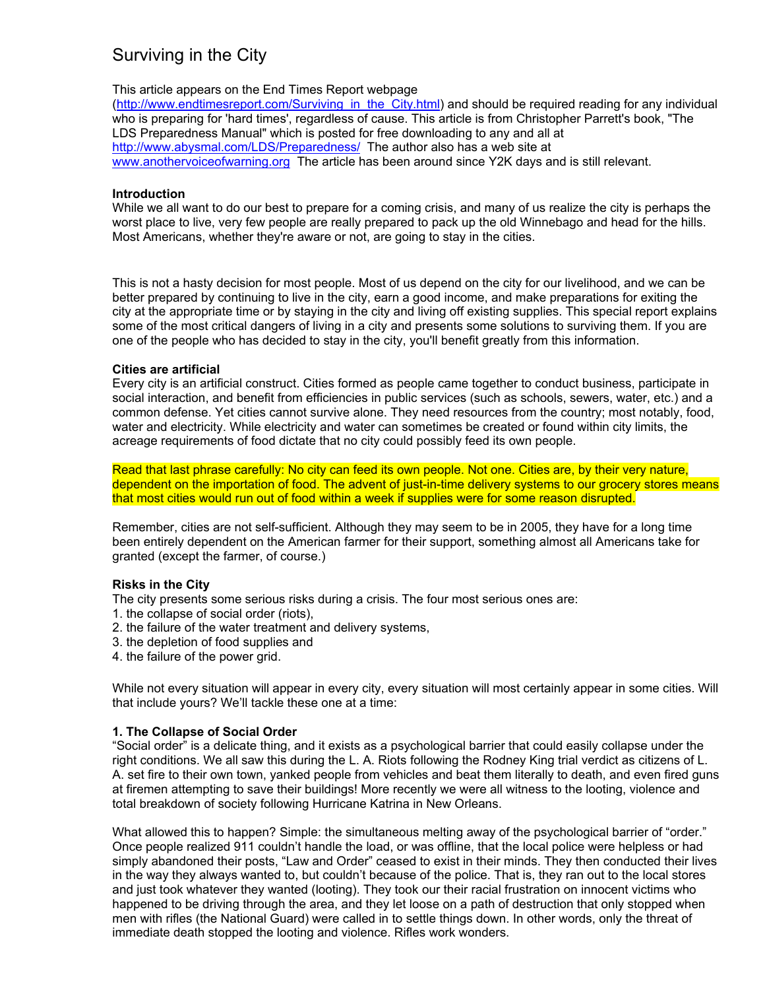# Surviving in the City

This article appears on the End Times Report webpage

(http://www.endtimesreport.com/Surviving\_in\_the\_City.html) and should be required reading for any individual who is preparing for 'hard times', regardless of cause. This article is from Christopher Parrett's book, "The LDS Preparedness Manual" which is posted for free downloading to any and all at http://www.abysmal.com/LDS/Preparedness/ The author also has a web site at www.anothervoiceofwarning.org The article has been around since Y2K days and is still relevant.

# **Introduction**

While we all want to do our best to prepare for a coming crisis, and many of us realize the city is perhaps the worst place to live, very few people are really prepared to pack up the old Winnebago and head for the hills. Most Americans, whether they're aware or not, are going to stay in the cities.

This is not a hasty decision for most people. Most of us depend on the city for our livelihood, and we can be better prepared by continuing to live in the city, earn a good income, and make preparations for exiting the city at the appropriate time or by staying in the city and living off existing supplies. This special report explains some of the most critical dangers of living in a city and presents some solutions to surviving them. If you are one of the people who has decided to stay in the city, you'll benefit greatly from this information.

# **Cities are artificial**

Every city is an artificial construct. Cities formed as people came together to conduct business, participate in social interaction, and benefit from efficiencies in public services (such as schools, sewers, water, etc.) and a common defense. Yet cities cannot survive alone. They need resources from the country; most notably, food, water and electricity. While electricity and water can sometimes be created or found within city limits, the acreage requirements of food dictate that no city could possibly feed its own people.

Read that last phrase carefully: No city can feed its own people. Not one. Cities are, by their very nature, dependent on the importation of food. The advent of just-in-time delivery systems to our grocery stores means that most cities would run out of food within a week if supplies were for some reason disrupted.

Remember, cities are not self-sufficient. Although they may seem to be in 2005, they have for a long time been entirely dependent on the American farmer for their support, something almost all Americans take for granted (except the farmer, of course.)

# **Risks in the City**

The city presents some serious risks during a crisis. The four most serious ones are:

- 1. the collapse of social order (riots),
- 2. the failure of the water treatment and delivery systems,
- 3. the depletion of food supplies and
- 4. the failure of the power grid.

While not every situation will appear in every city, every situation will most certainly appear in some cities. Will that include yours? We'll tackle these one at a time:

#### **1. The Collapse of Social Order**

"Social order" is a delicate thing, and it exists as a psychological barrier that could easily collapse under the right conditions. We all saw this during the L. A. Riots following the Rodney King trial verdict as citizens of L. A. set fire to their own town, yanked people from vehicles and beat them literally to death, and even fired guns at firemen attempting to save their buildings! More recently we were all witness to the looting, violence and total breakdown of society following Hurricane Katrina in New Orleans.

What allowed this to happen? Simple: the simultaneous melting away of the psychological barrier of "order." Once people realized 911 couldn't handle the load, or was offline, that the local police were helpless or had simply abandoned their posts, "Law and Order" ceased to exist in their minds. They then conducted their lives in the way they always wanted to, but couldn't because of the police. That is, they ran out to the local stores and just took whatever they wanted (looting). They took our their racial frustration on innocent victims who happened to be driving through the area, and they let loose on a path of destruction that only stopped when men with rifles (the National Guard) were called in to settle things down. In other words, only the threat of immediate death stopped the looting and violence. Rifles work wonders.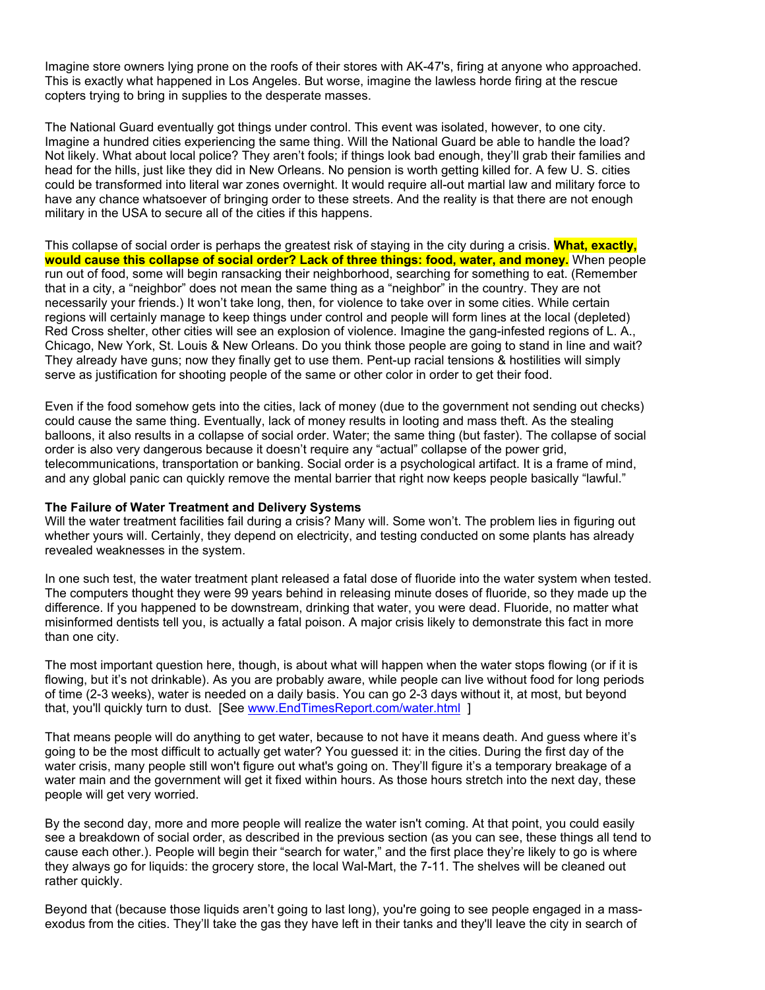Imagine store owners lying prone on the roofs of their stores with AK-47's, firing at anyone who approached. This is exactly what happened in Los Angeles. But worse, imagine the lawless horde firing at the rescue copters trying to bring in supplies to the desperate masses.

The National Guard eventually got things under control. This event was isolated, however, to one city. Imagine a hundred cities experiencing the same thing. Will the National Guard be able to handle the load? Not likely. What about local police? They aren't fools; if things look bad enough, they'll grab their families and head for the hills, just like they did in New Orleans. No pension is worth getting killed for. A few U. S. cities could be transformed into literal war zones overnight. It would require all-out martial law and military force to have any chance whatsoever of bringing order to these streets. And the reality is that there are not enough military in the USA to secure all of the cities if this happens.

This collapse of social order is perhaps the greatest risk of staying in the city during a crisis. **What, exactly, would cause this collapse of social order? Lack of three things: food, water, and money.** When people run out of food, some will begin ransacking their neighborhood, searching for something to eat. (Remember that in a city, a "neighbor" does not mean the same thing as a "neighbor" in the country. They are not necessarily your friends.) It won't take long, then, for violence to take over in some cities. While certain regions will certainly manage to keep things under control and people will form lines at the local (depleted) Red Cross shelter, other cities will see an explosion of violence. Imagine the gang-infested regions of L. A., Chicago, New York, St. Louis & New Orleans. Do you think those people are going to stand in line and wait? They already have guns; now they finally get to use them. Pent-up racial tensions & hostilities will simply serve as justification for shooting people of the same or other color in order to get their food.

Even if the food somehow gets into the cities, lack of money (due to the government not sending out checks) could cause the same thing. Eventually, lack of money results in looting and mass theft. As the stealing balloons, it also results in a collapse of social order. Water; the same thing (but faster). The collapse of social order is also very dangerous because it doesn't require any "actual" collapse of the power grid, telecommunications, transportation or banking. Social order is a psychological artifact. It is a frame of mind, and any global panic can quickly remove the mental barrier that right now keeps people basically "lawful."

#### **The Failure of Water Treatment and Delivery Systems**

Will the water treatment facilities fail during a crisis? Many will. Some won't. The problem lies in figuring out whether yours will. Certainly, they depend on electricity, and testing conducted on some plants has already revealed weaknesses in the system.

In one such test, the water treatment plant released a fatal dose of fluoride into the water system when tested. The computers thought they were 99 years behind in releasing minute doses of fluoride, so they made up the difference. If you happened to be downstream, drinking that water, you were dead. Fluoride, no matter what misinformed dentists tell you, is actually a fatal poison. A major crisis likely to demonstrate this fact in more than one city.

The most important question here, though, is about what will happen when the water stops flowing (or if it is flowing, but it's not drinkable). As you are probably aware, while people can live without food for long periods of time (2-3 weeks), water is needed on a daily basis. You can go 2-3 days without it, at most, but beyond that, you'll quickly turn to dust. [See www.EndTimesReport.com/water.html ]

That means people will do anything to get water, because to not have it means death. And guess where it's going to be the most difficult to actually get water? You guessed it: in the cities. During the first day of the water crisis, many people still won't figure out what's going on. They'll figure it's a temporary breakage of a water main and the government will get it fixed within hours. As those hours stretch into the next day, these people will get very worried.

By the second day, more and more people will realize the water isn't coming. At that point, you could easily see a breakdown of social order, as described in the previous section (as you can see, these things all tend to cause each other.). People will begin their "search for water," and the first place they're likely to go is where they always go for liquids: the grocery store, the local Wal-Mart, the 7-11. The shelves will be cleaned out rather quickly.

Beyond that (because those liquids aren't going to last long), you're going to see people engaged in a massexodus from the cities. They'll take the gas they have left in their tanks and they'll leave the city in search of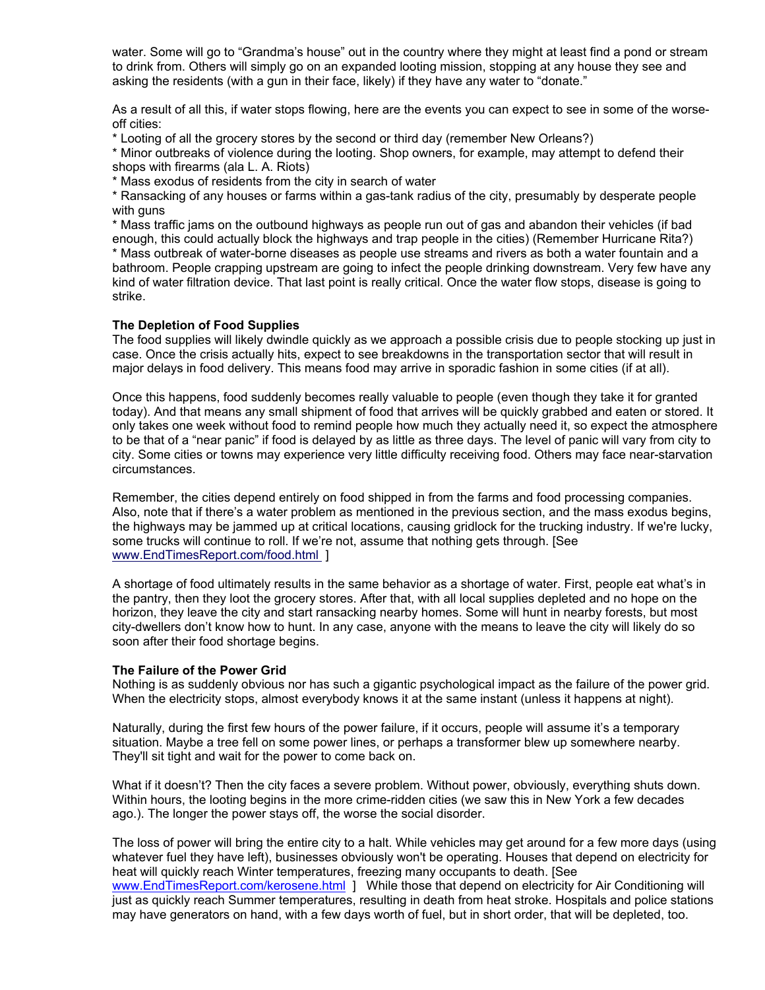water. Some will go to "Grandma's house" out in the country where they might at least find a pond or stream to drink from. Others will simply go on an expanded looting mission, stopping at any house they see and asking the residents (with a gun in their face, likely) if they have any water to "donate."

As a result of all this, if water stops flowing, here are the events you can expect to see in some of the worseoff cities:

\* Looting of all the grocery stores by the second or third day (remember New Orleans?)

\* Minor outbreaks of violence during the looting. Shop owners, for example, may attempt to defend their shops with firearms (ala L. A. Riots)

\* Mass exodus of residents from the city in search of water

\* Ransacking of any houses or farms within a gas-tank radius of the city, presumably by desperate people with guns

\* Mass traffic jams on the outbound highways as people run out of gas and abandon their vehicles (if bad enough, this could actually block the highways and trap people in the cities) (Remember Hurricane Rita?)

\* Mass outbreak of water-borne diseases as people use streams and rivers as both a water fountain and a bathroom. People crapping upstream are going to infect the people drinking downstream. Very few have any kind of water filtration device. That last point is really critical. Once the water flow stops, disease is going to strike.

#### **The Depletion of Food Supplies**

The food supplies will likely dwindle quickly as we approach a possible crisis due to people stocking up just in case. Once the crisis actually hits, expect to see breakdowns in the transportation sector that will result in major delays in food delivery. This means food may arrive in sporadic fashion in some cities (if at all).

Once this happens, food suddenly becomes really valuable to people (even though they take it for granted today). And that means any small shipment of food that arrives will be quickly grabbed and eaten or stored. It only takes one week without food to remind people how much they actually need it, so expect the atmosphere to be that of a "near panic" if food is delayed by as little as three days. The level of panic will vary from city to city. Some cities or towns may experience very little difficulty receiving food. Others may face near-starvation circumstances.

Remember, the cities depend entirely on food shipped in from the farms and food processing companies. Also, note that if there's a water problem as mentioned in the previous section, and the mass exodus begins, the highways may be jammed up at critical locations, causing gridlock for the trucking industry. If we're lucky, some trucks will continue to roll. If we're not, assume that nothing gets through. [See www.EndTimesReport.com/food.html ]

A shortage of food ultimately results in the same behavior as a shortage of water. First, people eat what's in the pantry, then they loot the grocery stores. After that, with all local supplies depleted and no hope on the horizon, they leave the city and start ransacking nearby homes. Some will hunt in nearby forests, but most city-dwellers don't know how to hunt. In any case, anyone with the means to leave the city will likely do so soon after their food shortage begins.

#### **The Failure of the Power Grid**

Nothing is as suddenly obvious nor has such a gigantic psychological impact as the failure of the power grid. When the electricity stops, almost everybody knows it at the same instant (unless it happens at night).

Naturally, during the first few hours of the power failure, if it occurs, people will assume it's a temporary situation. Maybe a tree fell on some power lines, or perhaps a transformer blew up somewhere nearby. They'll sit tight and wait for the power to come back on.

What if it doesn't? Then the city faces a severe problem. Without power, obviously, everything shuts down. Within hours, the looting begins in the more crime-ridden cities (we saw this in New York a few decades ago.). The longer the power stays off, the worse the social disorder.

The loss of power will bring the entire city to a halt. While vehicles may get around for a few more days (using whatever fuel they have left), businesses obviously won't be operating. Houses that depend on electricity for heat will quickly reach Winter temperatures, freezing many occupants to death. [See www.EndTimesReport.com/kerosene.html ] While those that depend on electricity for Air Conditioning will just as quickly reach Summer temperatures, resulting in death from heat stroke. Hospitals and police stations may have generators on hand, with a few days worth of fuel, but in short order, that will be depleted, too.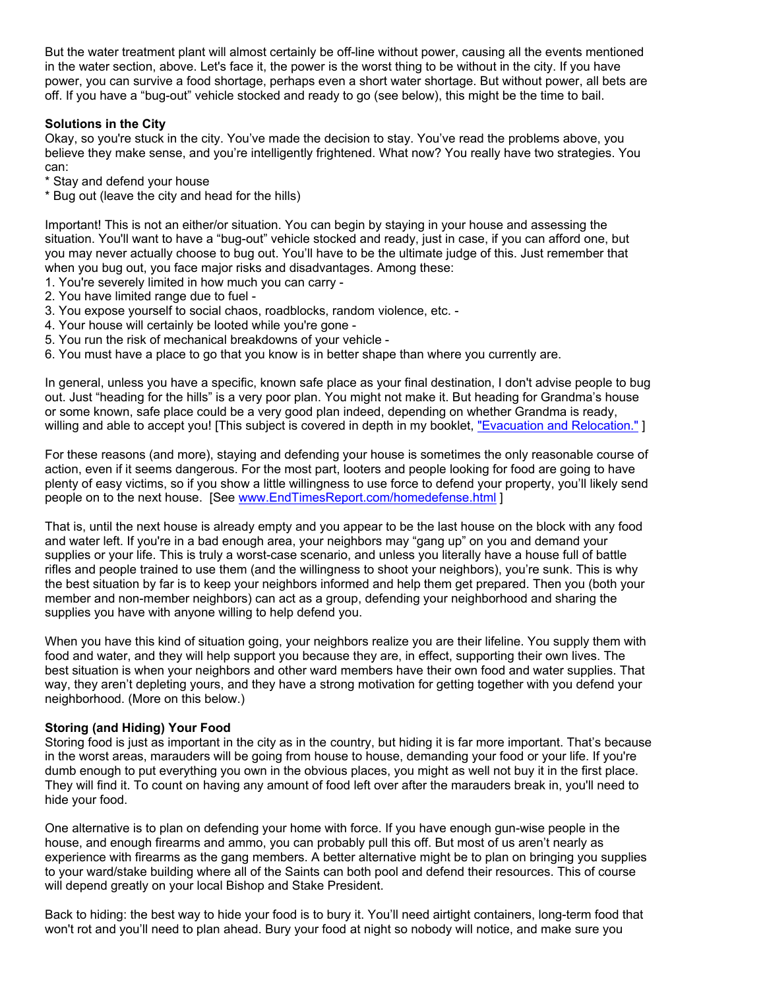But the water treatment plant will almost certainly be off-line without power, causing all the events mentioned in the water section, above. Let's face it, the power is the worst thing to be without in the city. If you have power, you can survive a food shortage, perhaps even a short water shortage. But without power, all bets are off. If you have a "bug-out" vehicle stocked and ready to go (see below), this might be the time to bail.

# **Solutions in the City**

Okay, so you're stuck in the city. You've made the decision to stay. You've read the problems above, you believe they make sense, and you're intelligently frightened. What now? You really have two strategies. You can:

\* Stay and defend your house

\* Bug out (leave the city and head for the hills)

Important! This is not an either/or situation. You can begin by staying in your house and assessing the situation. You'll want to have a "bug-out" vehicle stocked and ready, just in case, if you can afford one, but you may never actually choose to bug out. You'll have to be the ultimate judge of this. Just remember that when you bug out, you face major risks and disadvantages. Among these:

- 1. You're severely limited in how much you can carry -
- 2. You have limited range due to fuel -
- 3. You expose yourself to social chaos, roadblocks, random violence, etc. -
- 4. Your house will certainly be looted while you're gone -
- 5. You run the risk of mechanical breakdowns of your vehicle -
- 6. You must have a place to go that you know is in better shape than where you currently are.

In general, unless you have a specific, known safe place as your final destination, I don't advise people to bug out. Just "heading for the hills" is a very poor plan. You might not make it. But heading for Grandma's house or some known, safe place could be a very good plan indeed, depending on whether Grandma is ready, willing and able to accept you! [This subject is covered in depth in my booklet, "Evacuation and Relocation."]

For these reasons (and more), staying and defending your house is sometimes the only reasonable course of action, even if it seems dangerous. For the most part, looters and people looking for food are going to have plenty of easy victims, so if you show a little willingness to use force to defend your property, you'll likely send people on to the next house. [See www.EndTimesReport.com/homedefense.html ]

That is, until the next house is already empty and you appear to be the last house on the block with any food and water left. If you're in a bad enough area, your neighbors may "gang up" on you and demand your supplies or your life. This is truly a worst-case scenario, and unless you literally have a house full of battle rifles and people trained to use them (and the willingness to shoot your neighbors), you're sunk. This is why the best situation by far is to keep your neighbors informed and help them get prepared. Then you (both your member and non-member neighbors) can act as a group, defending your neighborhood and sharing the supplies you have with anyone willing to help defend you.

When you have this kind of situation going, your neighbors realize you are their lifeline. You supply them with food and water, and they will help support you because they are, in effect, supporting their own lives. The best situation is when your neighbors and other ward members have their own food and water supplies. That way, they aren't depleting yours, and they have a strong motivation for getting together with you defend your neighborhood. (More on this below.)

# **Storing (and Hiding) Your Food**

Storing food is just as important in the city as in the country, but hiding it is far more important. That's because in the worst areas, marauders will be going from house to house, demanding your food or your life. If you're dumb enough to put everything you own in the obvious places, you might as well not buy it in the first place. They will find it. To count on having any amount of food left over after the marauders break in, you'll need to hide your food.

One alternative is to plan on defending your home with force. If you have enough gun-wise people in the house, and enough firearms and ammo, you can probably pull this off. But most of us aren't nearly as experience with firearms as the gang members. A better alternative might be to plan on bringing you supplies to your ward/stake building where all of the Saints can both pool and defend their resources. This of course will depend greatly on your local Bishop and Stake President.

Back to hiding: the best way to hide your food is to bury it. You'll need airtight containers, long-term food that won't rot and you'll need to plan ahead. Bury your food at night so nobody will notice, and make sure you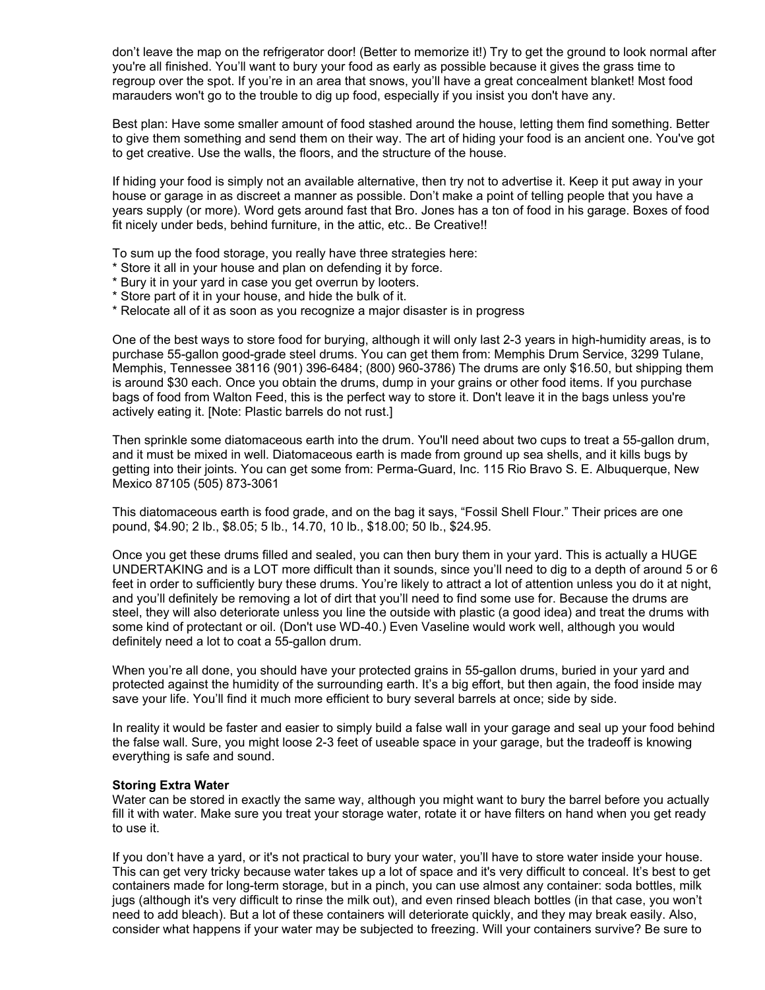don't leave the map on the refrigerator door! (Better to memorize it!) Try to get the ground to look normal after you're all finished. You'll want to bury your food as early as possible because it gives the grass time to regroup over the spot. If you're in an area that snows, you'll have a great concealment blanket! Most food marauders won't go to the trouble to dig up food, especially if you insist you don't have any.

Best plan: Have some smaller amount of food stashed around the house, letting them find something. Better to give them something and send them on their way. The art of hiding your food is an ancient one. You've got to get creative. Use the walls, the floors, and the structure of the house.

If hiding your food is simply not an available alternative, then try not to advertise it. Keep it put away in your house or garage in as discreet a manner as possible. Don't make a point of telling people that you have a years supply (or more). Word gets around fast that Bro. Jones has a ton of food in his garage. Boxes of food fit nicely under beds, behind furniture, in the attic, etc.. Be Creative!!

To sum up the food storage, you really have three strategies here:

- \* Store it all in your house and plan on defending it by force.
- \* Bury it in your yard in case you get overrun by looters.
- \* Store part of it in your house, and hide the bulk of it.
- \* Relocate all of it as soon as you recognize a major disaster is in progress

One of the best ways to store food for burying, although it will only last 2-3 years in high-humidity areas, is to purchase 55-gallon good-grade steel drums. You can get them from: Memphis Drum Service, 3299 Tulane, Memphis, Tennessee 38116 (901) 396-6484; (800) 960-3786) The drums are only \$16.50, but shipping them is around \$30 each. Once you obtain the drums, dump in your grains or other food items. If you purchase bags of food from Walton Feed, this is the perfect way to store it. Don't leave it in the bags unless you're actively eating it. [Note: Plastic barrels do not rust.]

Then sprinkle some diatomaceous earth into the drum. You'll need about two cups to treat a 55-gallon drum, and it must be mixed in well. Diatomaceous earth is made from ground up sea shells, and it kills bugs by getting into their joints. You can get some from: Perma-Guard, Inc. 115 Rio Bravo S. E. Albuquerque, New Mexico 87105 (505) 873-3061

This diatomaceous earth is food grade, and on the bag it says, "Fossil Shell Flour." Their prices are one pound, \$4.90; 2 lb., \$8.05; 5 lb., 14.70, 10 lb., \$18.00; 50 lb., \$24.95.

Once you get these drums filled and sealed, you can then bury them in your yard. This is actually a HUGE UNDERTAKING and is a LOT more difficult than it sounds, since you'll need to dig to a depth of around 5 or 6 feet in order to sufficiently bury these drums. You're likely to attract a lot of attention unless you do it at night, and you'll definitely be removing a lot of dirt that you'll need to find some use for. Because the drums are steel, they will also deteriorate unless you line the outside with plastic (a good idea) and treat the drums with some kind of protectant or oil. (Don't use WD-40.) Even Vaseline would work well, although you would definitely need a lot to coat a 55-gallon drum.

When you're all done, you should have your protected grains in 55-gallon drums, buried in your yard and protected against the humidity of the surrounding earth. It's a big effort, but then again, the food inside may save your life. You'll find it much more efficient to bury several barrels at once; side by side.

In reality it would be faster and easier to simply build a false wall in your garage and seal up your food behind the false wall. Sure, you might loose 2-3 feet of useable space in your garage, but the tradeoff is knowing everything is safe and sound.

#### **Storing Extra Water**

Water can be stored in exactly the same way, although you might want to bury the barrel before you actually fill it with water. Make sure you treat your storage water, rotate it or have filters on hand when you get ready to use it.

If you don't have a yard, or it's not practical to bury your water, you'll have to store water inside your house. This can get very tricky because water takes up a lot of space and it's very difficult to conceal. It's best to get containers made for long-term storage, but in a pinch, you can use almost any container: soda bottles, milk jugs (although it's very difficult to rinse the milk out), and even rinsed bleach bottles (in that case, you won't need to add bleach). But a lot of these containers will deteriorate quickly, and they may break easily. Also, consider what happens if your water may be subjected to freezing. Will your containers survive? Be sure to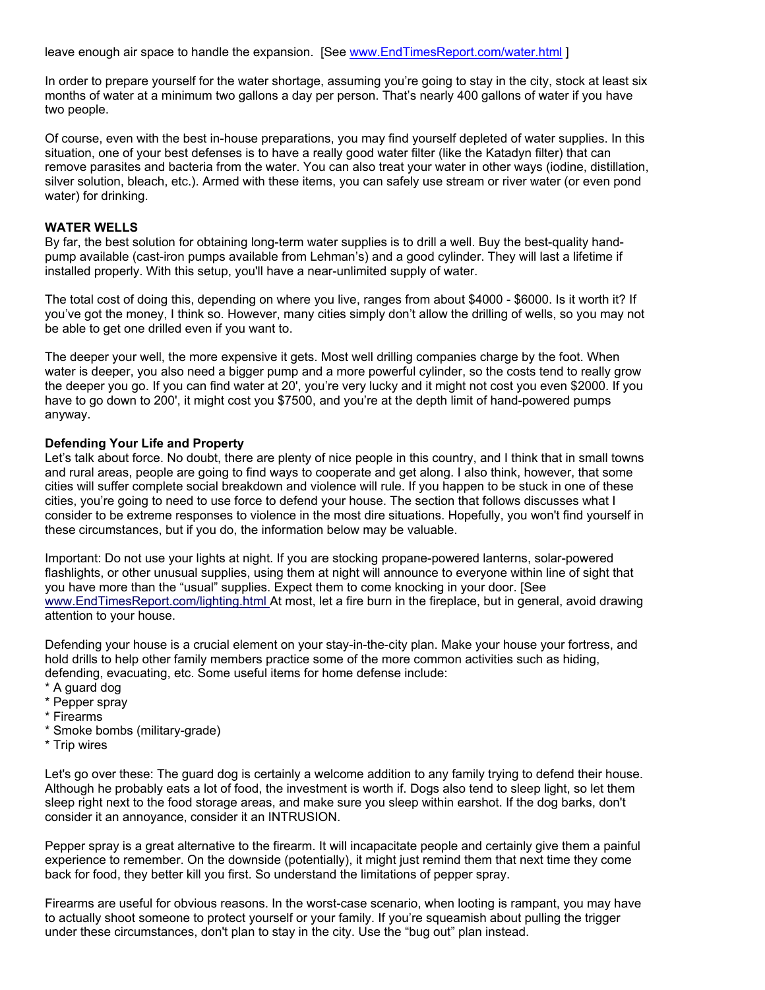leave enough air space to handle the expansion. [See www.EndTimesReport.com/water.html ]

In order to prepare yourself for the water shortage, assuming you're going to stay in the city, stock at least six months of water at a minimum two gallons a day per person. That's nearly 400 gallons of water if you have two people.

Of course, even with the best in-house preparations, you may find yourself depleted of water supplies. In this situation, one of your best defenses is to have a really good water filter (like the Katadyn filter) that can remove parasites and bacteria from the water. You can also treat your water in other ways (iodine, distillation, silver solution, bleach, etc.). Armed with these items, you can safely use stream or river water (or even pond water) for drinking.

## **WATER WELLS**

By far, the best solution for obtaining long-term water supplies is to drill a well. Buy the best-quality handpump available (cast-iron pumps available from Lehman's) and a good cylinder. They will last a lifetime if installed properly. With this setup, you'll have a near-unlimited supply of water.

The total cost of doing this, depending on where you live, ranges from about \$4000 - \$6000. Is it worth it? If you've got the money, I think so. However, many cities simply don't allow the drilling of wells, so you may not be able to get one drilled even if you want to.

The deeper your well, the more expensive it gets. Most well drilling companies charge by the foot. When water is deeper, you also need a bigger pump and a more powerful cylinder, so the costs tend to really grow the deeper you go. If you can find water at 20', you're very lucky and it might not cost you even \$2000. If you have to go down to 200', it might cost you \$7500, and you're at the depth limit of hand-powered pumps anyway.

# **Defending Your Life and Property**

Let's talk about force. No doubt, there are plenty of nice people in this country, and I think that in small towns and rural areas, people are going to find ways to cooperate and get along. I also think, however, that some cities will suffer complete social breakdown and violence will rule. If you happen to be stuck in one of these cities, you're going to need to use force to defend your house. The section that follows discusses what I consider to be extreme responses to violence in the most dire situations. Hopefully, you won't find yourself in these circumstances, but if you do, the information below may be valuable.

Important: Do not use your lights at night. If you are stocking propane-powered lanterns, solar-powered flashlights, or other unusual supplies, using them at night will announce to everyone within line of sight that you have more than the "usual" supplies. Expect them to come knocking in your door. [See www.EndTimesReport.com/lighting.html At most, let a fire burn in the fireplace, but in general, avoid drawing attention to your house.

Defending your house is a crucial element on your stay-in-the-city plan. Make your house your fortress, and hold drills to help other family members practice some of the more common activities such as hiding, defending, evacuating, etc. Some useful items for home defense include:

- \* A guard dog
- \* Pepper spray
- \* Firearms
- \* Smoke bombs (military-grade)
- \* Trip wires

Let's go over these: The guard dog is certainly a welcome addition to any family trying to defend their house. Although he probably eats a lot of food, the investment is worth if. Dogs also tend to sleep light, so let them sleep right next to the food storage areas, and make sure you sleep within earshot. If the dog barks, don't consider it an annoyance, consider it an INTRUSION.

Pepper spray is a great alternative to the firearm. It will incapacitate people and certainly give them a painful experience to remember. On the downside (potentially), it might just remind them that next time they come back for food, they better kill you first. So understand the limitations of pepper spray.

Firearms are useful for obvious reasons. In the worst-case scenario, when looting is rampant, you may have to actually shoot someone to protect yourself or your family. If you're squeamish about pulling the trigger under these circumstances, don't plan to stay in the city. Use the "bug out" plan instead.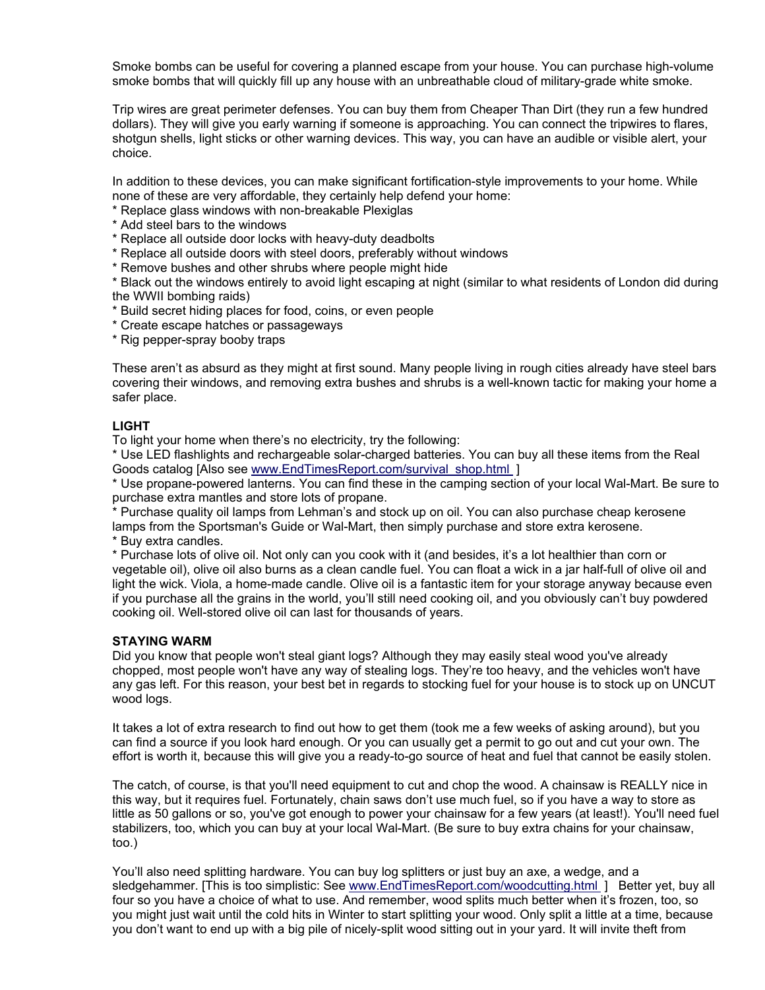Smoke bombs can be useful for covering a planned escape from your house. You can purchase high-volume smoke bombs that will quickly fill up any house with an unbreathable cloud of military-grade white smoke.

Trip wires are great perimeter defenses. You can buy them from Cheaper Than Dirt (they run a few hundred dollars). They will give you early warning if someone is approaching. You can connect the tripwires to flares, shotgun shells, light sticks or other warning devices. This way, you can have an audible or visible alert, your choice.

In addition to these devices, you can make significant fortification-style improvements to your home. While none of these are very affordable, they certainly help defend your home:

\* Replace glass windows with non-breakable Plexiglas

\* Add steel bars to the windows

\* Replace all outside door locks with heavy-duty deadbolts

\* Replace all outside doors with steel doors, preferably without windows

\* Remove bushes and other shrubs where people might hide

\* Black out the windows entirely to avoid light escaping at night (similar to what residents of London did during the WWII bombing raids)

\* Build secret hiding places for food, coins, or even people

\* Create escape hatches or passageways

\* Rig pepper-spray booby traps

These aren't as absurd as they might at first sound. Many people living in rough cities already have steel bars covering their windows, and removing extra bushes and shrubs is a well-known tactic for making your home a safer place.

#### **LIGHT**

To light your home when there's no electricity, try the following:

\* Use LED flashlights and rechargeable solar-charged batteries. You can buy all these items from the Real Goods catalog [Also see www.EndTimesReport.com/survival\_shop.html ]

\* Use propane-powered lanterns. You can find these in the camping section of your local Wal-Mart. Be sure to purchase extra mantles and store lots of propane.

\* Purchase quality oil lamps from Lehman's and stock up on oil. You can also purchase cheap kerosene lamps from the Sportsman's Guide or Wal-Mart, then simply purchase and store extra kerosene.

\* Buy extra candles.

\* Purchase lots of olive oil. Not only can you cook with it (and besides, it's a lot healthier than corn or vegetable oil), olive oil also burns as a clean candle fuel. You can float a wick in a jar half-full of olive oil and light the wick. Viola, a home-made candle. Olive oil is a fantastic item for your storage anyway because even if you purchase all the grains in the world, you'll still need cooking oil, and you obviously can't buy powdered cooking oil. Well-stored olive oil can last for thousands of years.

#### **STAYING WARM**

Did you know that people won't steal giant logs? Although they may easily steal wood you've already chopped, most people won't have any way of stealing logs. They're too heavy, and the vehicles won't have any gas left. For this reason, your best bet in regards to stocking fuel for your house is to stock up on UNCUT wood logs.

It takes a lot of extra research to find out how to get them (took me a few weeks of asking around), but you can find a source if you look hard enough. Or you can usually get a permit to go out and cut your own. The effort is worth it, because this will give you a ready-to-go source of heat and fuel that cannot be easily stolen.

The catch, of course, is that you'll need equipment to cut and chop the wood. A chainsaw is REALLY nice in this way, but it requires fuel. Fortunately, chain saws don't use much fuel, so if you have a way to store as little as 50 gallons or so, you've got enough to power your chainsaw for a few years (at least!). You'll need fuel stabilizers, too, which you can buy at your local Wal-Mart. (Be sure to buy extra chains for your chainsaw, too.)

You'll also need splitting hardware. You can buy log splitters or just buy an axe, a wedge, and a sledgehammer. [This is too simplistic: See www.EndTimesReport.com/woodcutting.html ] Better yet, buy all four so you have a choice of what to use. And remember, wood splits much better when it's frozen, too, so you might just wait until the cold hits in Winter to start splitting your wood. Only split a little at a time, because you don't want to end up with a big pile of nicely-split wood sitting out in your yard. It will invite theft from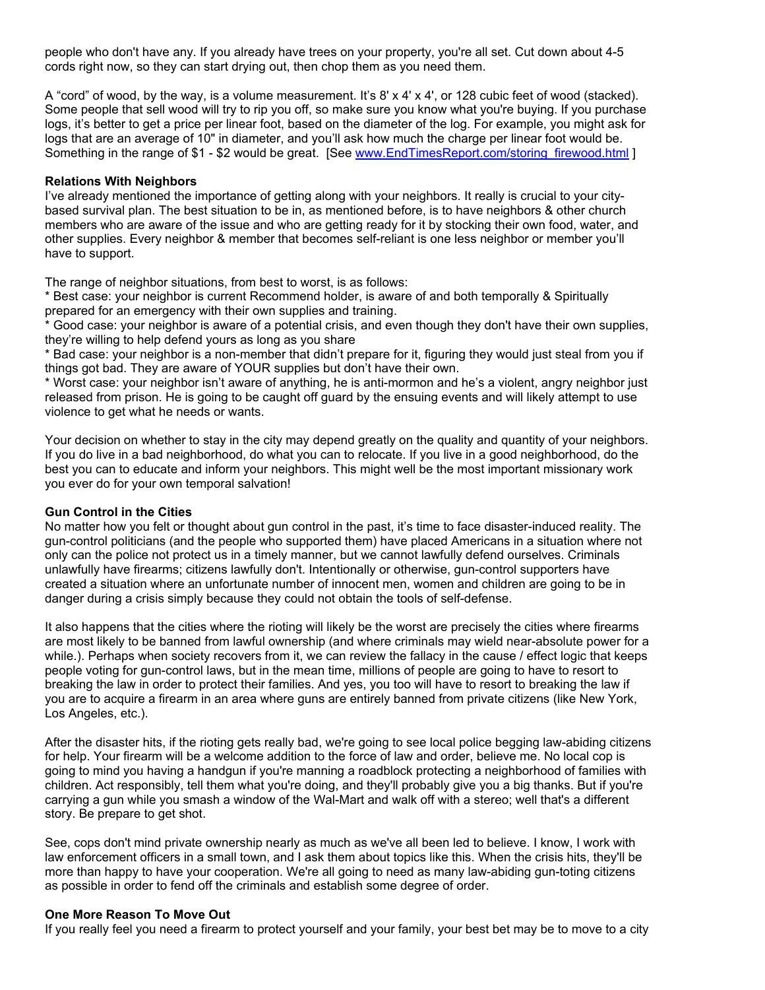people who don't have any. If you already have trees on your property, you're all set. Cut down about 4-5 cords right now, so they can start drying out, then chop them as you need them.

A "cord" of wood, by the way, is a volume measurement. It's 8' x 4' x 4', or 128 cubic feet of wood (stacked). Some people that sell wood will try to rip you off, so make sure you know what you're buying. If you purchase logs, it's better to get a price per linear foot, based on the diameter of the log. For example, you might ask for logs that are an average of 10" in diameter, and you'll ask how much the charge per linear foot would be. Something in the range of \$1 - \$2 would be great. [See www.EndTimesReport.com/storing\_firewood.html]

## **Relations With Neighbors**

I've already mentioned the importance of getting along with your neighbors. It really is crucial to your citybased survival plan. The best situation to be in, as mentioned before, is to have neighbors & other church members who are aware of the issue and who are getting ready for it by stocking their own food, water, and other supplies. Every neighbor & member that becomes self-reliant is one less neighbor or member you'll have to support.

The range of neighbor situations, from best to worst, is as follows:

\* Best case: your neighbor is current Recommend holder, is aware of and both temporally & Spiritually prepared for an emergency with their own supplies and training.

\* Good case: your neighbor is aware of a potential crisis, and even though they don't have their own supplies, they're willing to help defend yours as long as you share

\* Bad case: your neighbor is a non-member that didn't prepare for it, figuring they would just steal from you if things got bad. They are aware of YOUR supplies but don't have their own.

\* Worst case: your neighbor isn't aware of anything, he is anti-mormon and he's a violent, angry neighbor just released from prison. He is going to be caught off guard by the ensuing events and will likely attempt to use violence to get what he needs or wants.

Your decision on whether to stay in the city may depend greatly on the quality and quantity of your neighbors. If you do live in a bad neighborhood, do what you can to relocate. If you live in a good neighborhood, do the best you can to educate and inform your neighbors. This might well be the most important missionary work you ever do for your own temporal salvation!

#### **Gun Control in the Cities**

No matter how you felt or thought about gun control in the past, it's time to face disaster-induced reality. The gun-control politicians (and the people who supported them) have placed Americans in a situation where not only can the police not protect us in a timely manner, but we cannot lawfully defend ourselves. Criminals unlawfully have firearms; citizens lawfully don't. Intentionally or otherwise, gun-control supporters have created a situation where an unfortunate number of innocent men, women and children are going to be in danger during a crisis simply because they could not obtain the tools of self-defense.

It also happens that the cities where the rioting will likely be the worst are precisely the cities where firearms are most likely to be banned from lawful ownership (and where criminals may wield near-absolute power for a while.). Perhaps when society recovers from it, we can review the fallacy in the cause / effect logic that keeps people voting for gun-control laws, but in the mean time, millions of people are going to have to resort to breaking the law in order to protect their families. And yes, you too will have to resort to breaking the law if you are to acquire a firearm in an area where guns are entirely banned from private citizens (like New York, Los Angeles, etc.).

After the disaster hits, if the rioting gets really bad, we're going to see local police begging law-abiding citizens for help. Your firearm will be a welcome addition to the force of law and order, believe me. No local cop is going to mind you having a handgun if you're manning a roadblock protecting a neighborhood of families with children. Act responsibly, tell them what you're doing, and they'll probably give you a big thanks. But if you're carrying a gun while you smash a window of the Wal-Mart and walk off with a stereo; well that's a different story. Be prepare to get shot.

See, cops don't mind private ownership nearly as much as we've all been led to believe. I know, I work with law enforcement officers in a small town, and I ask them about topics like this. When the crisis hits, they'll be more than happy to have your cooperation. We're all going to need as many law-abiding gun-toting citizens as possible in order to fend off the criminals and establish some degree of order.

#### **One More Reason To Move Out**

If you really feel you need a firearm to protect yourself and your family, your best bet may be to move to a city